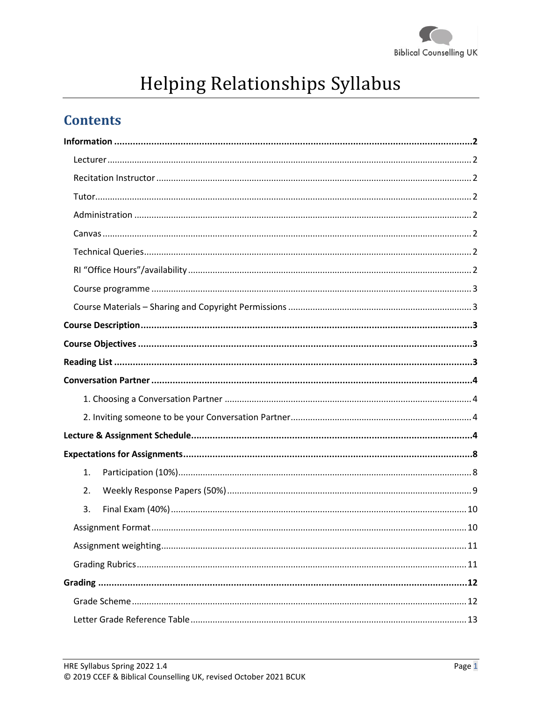

# Helping Relationships Syllabus

# **Contents**

| 1. |  |
|----|--|
| 2. |  |
| 3. |  |
|    |  |
|    |  |
|    |  |
|    |  |
|    |  |
|    |  |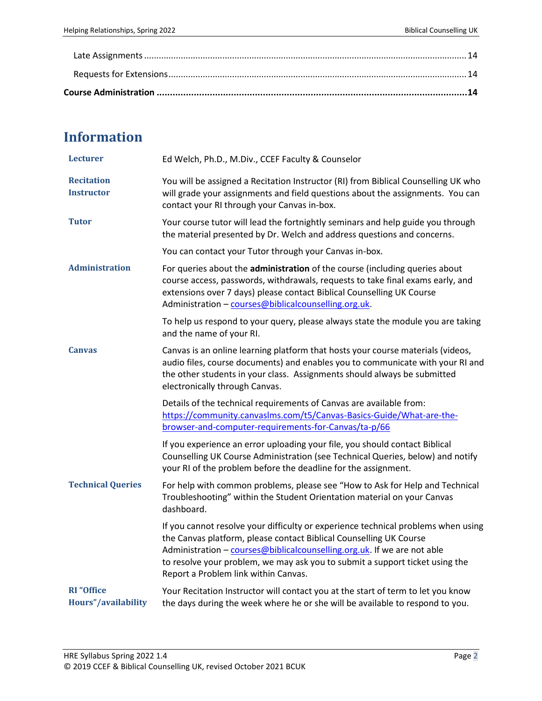# **Information**

| <b>Lecturer</b>                          | Ed Welch, Ph.D., M.Div., CCEF Faculty & Counselor                                                                                                                                                                                                                                                                                                          |  |  |
|------------------------------------------|------------------------------------------------------------------------------------------------------------------------------------------------------------------------------------------------------------------------------------------------------------------------------------------------------------------------------------------------------------|--|--|
| <b>Recitation</b><br><b>Instructor</b>   | You will be assigned a Recitation Instructor (RI) from Biblical Counselling UK who<br>will grade your assignments and field questions about the assignments. You can<br>contact your RI through your Canvas in-box.                                                                                                                                        |  |  |
| <b>Tutor</b>                             | Your course tutor will lead the fortnightly seminars and help guide you through<br>the material presented by Dr. Welch and address questions and concerns.                                                                                                                                                                                                 |  |  |
|                                          | You can contact your Tutor through your Canvas in-box.                                                                                                                                                                                                                                                                                                     |  |  |
| <b>Administration</b>                    | For queries about the administration of the course (including queries about<br>course access, passwords, withdrawals, requests to take final exams early, and<br>extensions over 7 days) please contact Biblical Counselling UK Course<br>Administration - courses@biblicalcounselling.org.uk.                                                             |  |  |
|                                          | To help us respond to your query, please always state the module you are taking<br>and the name of your RI.                                                                                                                                                                                                                                                |  |  |
| <b>Canvas</b>                            | Canvas is an online learning platform that hosts your course materials (videos,<br>audio files, course documents) and enables you to communicate with your RI and<br>the other students in your class. Assignments should always be submitted<br>electronically through Canvas.                                                                            |  |  |
|                                          | Details of the technical requirements of Canvas are available from:<br>https://community.canvaslms.com/t5/Canvas-Basics-Guide/What-are-the-<br>browser-and-computer-requirements-for-Canvas/ta-p/66                                                                                                                                                        |  |  |
|                                          |                                                                                                                                                                                                                                                                                                                                                            |  |  |
|                                          | If you experience an error uploading your file, you should contact Biblical<br>Counselling UK Course Administration (see Technical Queries, below) and notify<br>your RI of the problem before the deadline for the assignment.                                                                                                                            |  |  |
| <b>Technical Queries</b>                 | For help with common problems, please see "How to Ask for Help and Technical<br>Troubleshooting" within the Student Orientation material on your Canvas<br>dashboard.                                                                                                                                                                                      |  |  |
|                                          | If you cannot resolve your difficulty or experience technical problems when using<br>the Canvas platform, please contact Biblical Counselling UK Course<br>Administration - courses@biblicalcounselling.org.uk. If we are not able<br>to resolve your problem, we may ask you to submit a support ticket using the<br>Report a Problem link within Canvas. |  |  |
| <b>RI</b> "Office<br>Hours"/availability | Your Recitation Instructor will contact you at the start of term to let you know<br>the days during the week where he or she will be available to respond to you.                                                                                                                                                                                          |  |  |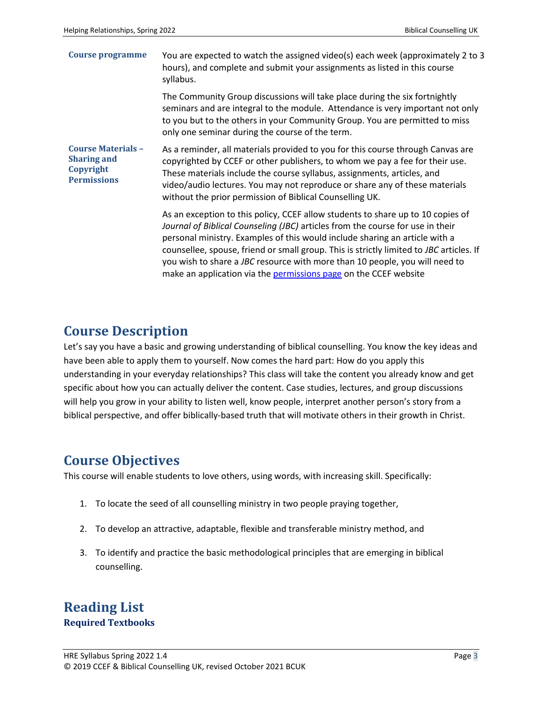| Course programme                                                                   | You are expected to watch the assigned video(s) each week (approximately 2 to 3<br>hours), and complete and submit your assignments as listed in this course<br>syllabus.                                                                                                                                                                                                                                                                                                                             |  |
|------------------------------------------------------------------------------------|-------------------------------------------------------------------------------------------------------------------------------------------------------------------------------------------------------------------------------------------------------------------------------------------------------------------------------------------------------------------------------------------------------------------------------------------------------------------------------------------------------|--|
|                                                                                    | The Community Group discussions will take place during the six fortnightly<br>seminars and are integral to the module. Attendance is very important not only<br>to you but to the others in your Community Group. You are permitted to miss<br>only one seminar during the course of the term.                                                                                                                                                                                                        |  |
| <b>Course Materials -</b><br><b>Sharing and</b><br>Copyright<br><b>Permissions</b> | As a reminder, all materials provided to you for this course through Canvas are<br>copyrighted by CCEF or other publishers, to whom we pay a fee for their use.<br>These materials include the course syllabus, assignments, articles, and<br>video/audio lectures. You may not reproduce or share any of these materials<br>without the prior permission of Biblical Counselling UK.                                                                                                                 |  |
|                                                                                    | As an exception to this policy, CCEF allow students to share up to 10 copies of<br>Journal of Biblical Counseling (JBC) articles from the course for use in their<br>personal ministry. Examples of this would include sharing an article with a<br>counsellee, spouse, friend or small group. This is strictly limited to JBC articles. If<br>you wish to share a JBC resource with more than 10 people, you will need to<br>make an application via the <b>permissions page</b> on the CCEF website |  |

### **Course Description**

Let's say you have a basic and growing understanding of biblical counselling. You know the key ideas and have been able to apply them to yourself. Now comes the hard part: How do you apply this understanding in your everyday relationships? This class will take the content you already know and get specific about how you can actually deliver the content. Case studies, lectures, and group discussions will help you grow in your ability to listen well, know people, interpret another person's story from a biblical perspective, and offer biblically-based truth that will motivate others in their growth in Christ.

# **Course Objectives**

This course will enable students to love others, using words, with increasing skill. Specifically:

- 1. To locate the seed of all counselling ministry in two people praying together,
- 2. To develop an attractive, adaptable, flexible and transferable ministry method, and
- 3. To identify and practice the basic methodological principles that are emerging in biblical counselling.

### **Reading List Required Textbooks**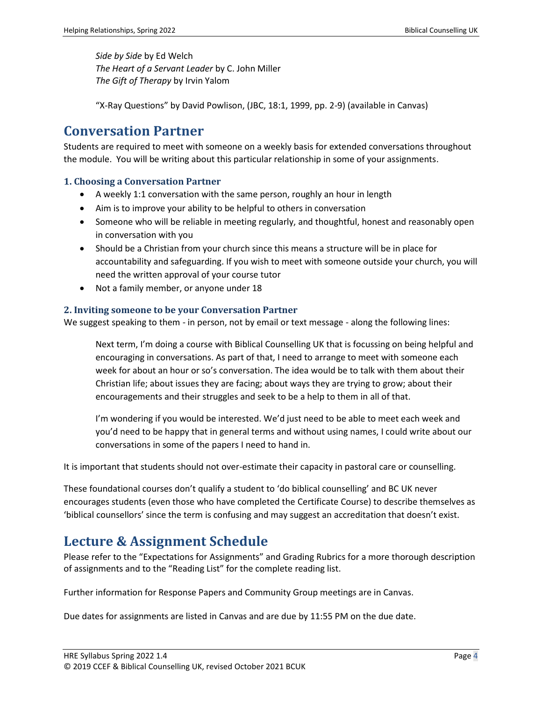*Side by Side* by Ed Welch *The Heart of a Servant Leader* by C. John Miller *The Gift of Therapy* by Irvin Yalom

"X-Ray Questions" by David Powlison, (JBC, 18:1, 1999, pp. 2-9) (available in Canvas)

### **Conversation Partner**

Students are required to meet with someone on a weekly basis for extended conversations throughout the module. You will be writing about this particular relationship in some of your assignments.

#### **1. Choosing a Conversation Partner**

- A weekly 1:1 conversation with the same person, roughly an hour in length
- Aim is to improve your ability to be helpful to others in conversation
- Someone who will be reliable in meeting regularly, and thoughtful, honest and reasonably open in conversation with you
- Should be a Christian from your church since this means a structure will be in place for accountability and safeguarding. If you wish to meet with someone outside your church, you will need the written approval of your course tutor
- Not a family member, or anyone under 18

#### **2. Inviting someone to be your Conversation Partner**

We suggest speaking to them - in person, not by email or text message - along the following lines:

Next term, I'm doing a course with Biblical Counselling UK that is focussing on being helpful and encouraging in conversations. As part of that, I need to arrange to meet with someone each week for about an hour or so's conversation. The idea would be to talk with them about their Christian life; about issues they are facing; about ways they are trying to grow; about their encouragements and their struggles and seek to be a help to them in all of that.

I'm wondering if you would be interested. We'd just need to be able to meet each week and you'd need to be happy that in general terms and without using names, I could write about our conversations in some of the papers I need to hand in.

It is important that students should not over-estimate their capacity in pastoral care or counselling.

These foundational courses don't qualify a student to 'do biblical counselling' and BC UK never encourages students (even those who have completed the Certificate Course) to describe themselves as 'biblical counsellors' since the term is confusing and may suggest an accreditation that doesn't exist.

# **Lecture & Assignment Schedule**

Please refer to the "Expectations for Assignments" and Grading Rubrics for a more thorough description of assignments and to the "Reading List" for the complete reading list.

Further information for Response Papers and Community Group meetings are in Canvas.

Due dates for assignments are listed in Canvas and are due by 11:55 PM on the due date.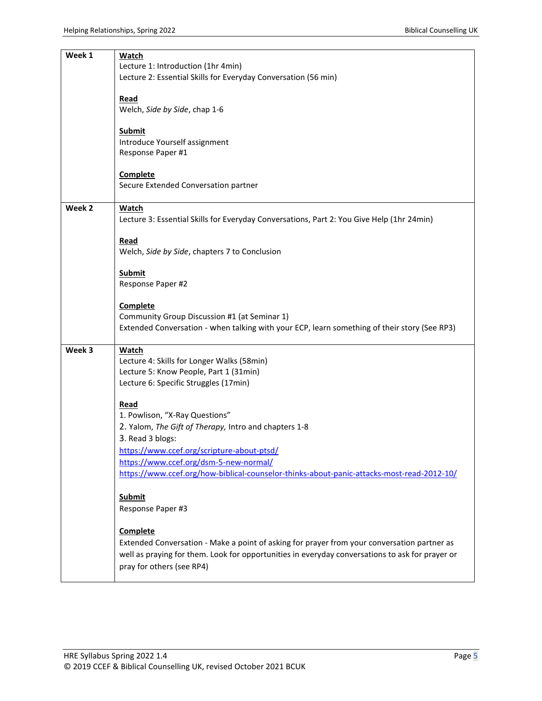| Week 1 | Watch<br>Lecture 1: Introduction (1hr 4min)                                                                                  |  |  |
|--------|------------------------------------------------------------------------------------------------------------------------------|--|--|
|        | Lecture 2: Essential Skills for Everyday Conversation (56 min)                                                               |  |  |
|        | Read                                                                                                                         |  |  |
|        | Welch, Side by Side, chap 1-6                                                                                                |  |  |
|        | <b>Submit</b>                                                                                                                |  |  |
|        | Introduce Yourself assignment<br>Response Paper #1                                                                           |  |  |
|        |                                                                                                                              |  |  |
|        | <b>Complete</b><br>Secure Extended Conversation partner                                                                      |  |  |
|        |                                                                                                                              |  |  |
| Week 2 | Watch<br>Lecture 3: Essential Skills for Everyday Conversations, Part 2: You Give Help (1hr 24min)                           |  |  |
|        |                                                                                                                              |  |  |
|        | Read<br>Welch, Side by Side, chapters 7 to Conclusion                                                                        |  |  |
|        |                                                                                                                              |  |  |
|        | <b>Submit</b><br>Response Paper #2                                                                                           |  |  |
|        | <b>Complete</b>                                                                                                              |  |  |
|        | Community Group Discussion #1 (at Seminar 1)                                                                                 |  |  |
|        | Extended Conversation - when talking with your ECP, learn something of their story (See RP3)                                 |  |  |
| Week 3 | <b>Watch</b>                                                                                                                 |  |  |
|        | Lecture 4: Skills for Longer Walks (58min)<br>Lecture 5: Know People, Part 1 (31min)                                         |  |  |
|        | Lecture 6: Specific Struggles (17min)                                                                                        |  |  |
|        | Read                                                                                                                         |  |  |
|        | 1. Powlison, "X-Ray Questions"                                                                                               |  |  |
|        | 2. Yalom, The Gift of Therapy, Intro and chapters 1-8                                                                        |  |  |
|        | 3. Read 3 blogs:<br>https://www.ccef.org/scripture-about-ptsd/                                                               |  |  |
|        | https://www.ccef.org/dsm-5-new-normal/                                                                                       |  |  |
|        | https://www.ccef.org/how-biblical-counselor-thinks-about-panic-attacks-most-read-2012-10/                                    |  |  |
|        | <b>Submit</b>                                                                                                                |  |  |
|        | Response Paper #3                                                                                                            |  |  |
|        | Complete                                                                                                                     |  |  |
|        | Extended Conversation - Make a point of asking for prayer from your conversation partner as                                  |  |  |
|        | well as praying for them. Look for opportunities in everyday conversations to ask for prayer or<br>pray for others (see RP4) |  |  |
|        |                                                                                                                              |  |  |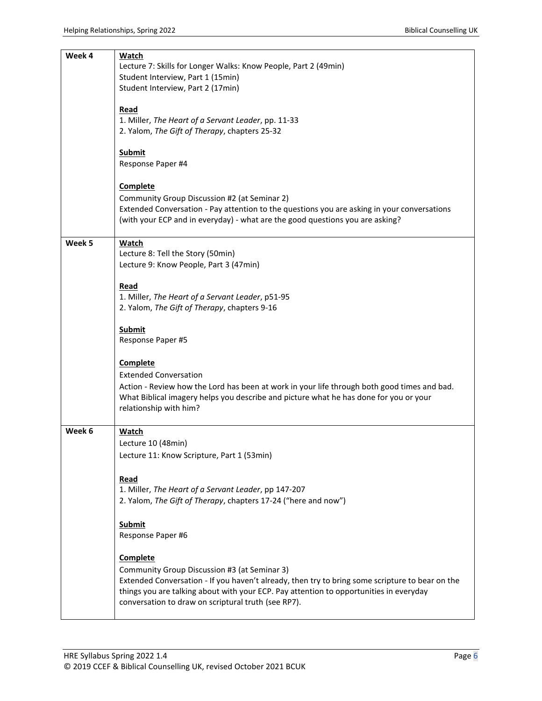| Week 4 | <b>Watch</b>                                                                                    |  |  |
|--------|-------------------------------------------------------------------------------------------------|--|--|
|        | Lecture 7: Skills for Longer Walks: Know People, Part 2 (49min)                                 |  |  |
|        | Student Interview, Part 1 (15min)                                                               |  |  |
|        | Student Interview, Part 2 (17min)                                                               |  |  |
|        |                                                                                                 |  |  |
|        |                                                                                                 |  |  |
|        | Read                                                                                            |  |  |
|        | 1. Miller, The Heart of a Servant Leader, pp. 11-33                                             |  |  |
|        | 2. Yalom, The Gift of Therapy, chapters 25-32                                                   |  |  |
|        |                                                                                                 |  |  |
|        | Submit                                                                                          |  |  |
|        | Response Paper #4                                                                               |  |  |
|        |                                                                                                 |  |  |
|        |                                                                                                 |  |  |
|        | <b>Complete</b>                                                                                 |  |  |
|        | Community Group Discussion #2 (at Seminar 2)                                                    |  |  |
|        | Extended Conversation - Pay attention to the questions you are asking in your conversations     |  |  |
|        | (with your ECP and in everyday) - what are the good questions you are asking?                   |  |  |
|        |                                                                                                 |  |  |
|        |                                                                                                 |  |  |
| Week 5 | <b>Watch</b>                                                                                    |  |  |
|        | Lecture 8: Tell the Story (50min)                                                               |  |  |
|        | Lecture 9: Know People, Part 3 (47min)                                                          |  |  |
|        |                                                                                                 |  |  |
|        | Read                                                                                            |  |  |
|        | 1. Miller, The Heart of a Servant Leader, p51-95                                                |  |  |
|        |                                                                                                 |  |  |
|        | 2. Yalom, The Gift of Therapy, chapters 9-16                                                    |  |  |
|        |                                                                                                 |  |  |
|        | <b>Submit</b>                                                                                   |  |  |
|        | Response Paper #5                                                                               |  |  |
|        |                                                                                                 |  |  |
|        | <b>Complete</b>                                                                                 |  |  |
|        | <b>Extended Conversation</b>                                                                    |  |  |
|        |                                                                                                 |  |  |
|        | Action - Review how the Lord has been at work in your life through both good times and bad.     |  |  |
|        | What Biblical imagery helps you describe and picture what he has done for you or your           |  |  |
|        | relationship with him?                                                                          |  |  |
|        |                                                                                                 |  |  |
| Week 6 | Watch                                                                                           |  |  |
|        | Lecture 10 (48min)                                                                              |  |  |
|        |                                                                                                 |  |  |
|        | Lecture 11: Know Scripture, Part 1 (53min)                                                      |  |  |
|        |                                                                                                 |  |  |
|        | Read                                                                                            |  |  |
|        | 1. Miller, The Heart of a Servant Leader, pp 147-207                                            |  |  |
|        | 2. Yalom, The Gift of Therapy, chapters 17-24 ("here and now")                                  |  |  |
|        |                                                                                                 |  |  |
|        |                                                                                                 |  |  |
|        | <b>Submit</b>                                                                                   |  |  |
|        | Response Paper #6                                                                               |  |  |
|        |                                                                                                 |  |  |
|        | Complete                                                                                        |  |  |
|        |                                                                                                 |  |  |
|        | Community Group Discussion #3 (at Seminar 3)                                                    |  |  |
|        | Extended Conversation - If you haven't already, then try to bring some scripture to bear on the |  |  |
|        | things you are talking about with your ECP. Pay attention to opportunities in everyday          |  |  |
|        | conversation to draw on scriptural truth (see RP7).                                             |  |  |
|        |                                                                                                 |  |  |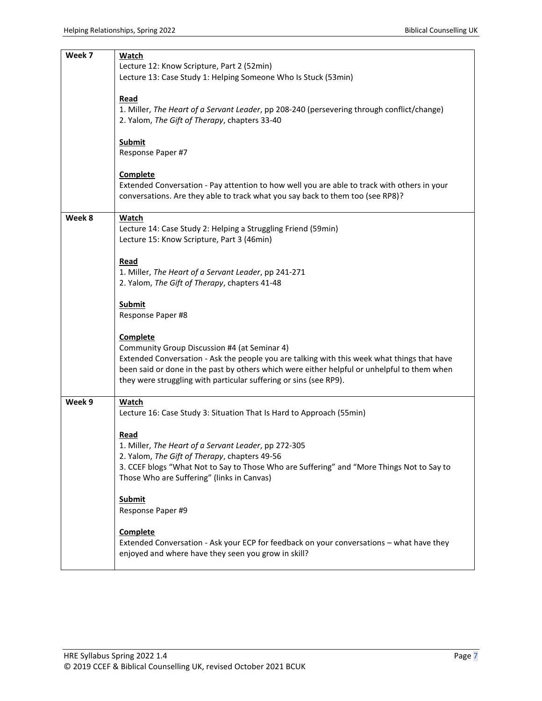| Week 7 | Watch                                                                                                                                                                                      |
|--------|--------------------------------------------------------------------------------------------------------------------------------------------------------------------------------------------|
|        | Lecture 12: Know Scripture, Part 2 (52min)<br>Lecture 13: Case Study 1: Helping Someone Who Is Stuck (53min)                                                                               |
|        |                                                                                                                                                                                            |
|        | Read<br>1. Miller, The Heart of a Servant Leader, pp 208-240 (persevering through conflict/change)                                                                                         |
|        | 2. Yalom, The Gift of Therapy, chapters 33-40                                                                                                                                              |
|        | <b>Submit</b>                                                                                                                                                                              |
|        | Response Paper #7                                                                                                                                                                          |
|        | <b>Complete</b>                                                                                                                                                                            |
|        | Extended Conversation - Pay attention to how well you are able to track with others in your                                                                                                |
|        | conversations. Are they able to track what you say back to them too (see RP8)?                                                                                                             |
| Week 8 | <b>Watch</b>                                                                                                                                                                               |
|        | Lecture 14: Case Study 2: Helping a Struggling Friend (59min)                                                                                                                              |
|        | Lecture 15: Know Scripture, Part 3 (46min)                                                                                                                                                 |
|        | Read                                                                                                                                                                                       |
|        | 1. Miller, The Heart of a Servant Leader, pp 241-271                                                                                                                                       |
|        | 2. Yalom, The Gift of Therapy, chapters 41-48                                                                                                                                              |
|        | <b>Submit</b>                                                                                                                                                                              |
|        | Response Paper #8                                                                                                                                                                          |
|        | <b>Complete</b>                                                                                                                                                                            |
|        | Community Group Discussion #4 (at Seminar 4)                                                                                                                                               |
|        | Extended Conversation - Ask the people you are talking with this week what things that have<br>been said or done in the past by others which were either helpful or unhelpful to them when |
|        | they were struggling with particular suffering or sins (see RP9).                                                                                                                          |
| Week 9 | Watch                                                                                                                                                                                      |
|        | Lecture 16: Case Study 3: Situation That Is Hard to Approach (55min)                                                                                                                       |
|        |                                                                                                                                                                                            |
|        | Read<br>1. Miller, The Heart of a Servant Leader, pp 272-305                                                                                                                               |
|        | 2. Yalom, The Gift of Therapy, chapters 49-56                                                                                                                                              |
|        | 3. CCEF blogs "What Not to Say to Those Who are Suffering" and "More Things Not to Say to                                                                                                  |
|        | Those Who are Suffering" (links in Canvas)                                                                                                                                                 |
|        | Submit                                                                                                                                                                                     |
|        | Response Paper #9                                                                                                                                                                          |
|        | <b>Complete</b>                                                                                                                                                                            |
|        | Extended Conversation - Ask your ECP for feedback on your conversations - what have they                                                                                                   |
|        | enjoyed and where have they seen you grow in skill?                                                                                                                                        |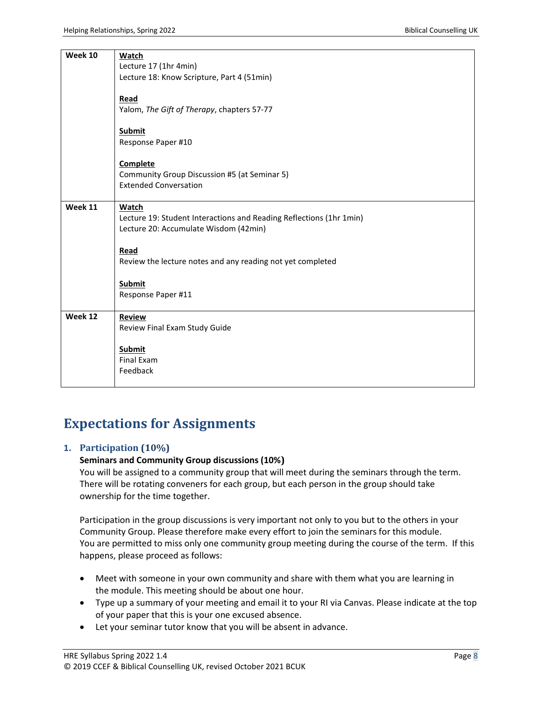| <b>Week 10</b> | <b>Watch</b>                                                                 |  |  |  |  |
|----------------|------------------------------------------------------------------------------|--|--|--|--|
|                | Lecture 17 (1hr 4min)                                                        |  |  |  |  |
|                | Lecture 18: Know Scripture, Part 4 (51min)                                   |  |  |  |  |
|                |                                                                              |  |  |  |  |
|                | Read                                                                         |  |  |  |  |
|                | Yalom, The Gift of Therapy, chapters 57-77                                   |  |  |  |  |
|                |                                                                              |  |  |  |  |
|                | <b>Submit</b>                                                                |  |  |  |  |
|                | Response Paper #10                                                           |  |  |  |  |
|                |                                                                              |  |  |  |  |
|                | Complete                                                                     |  |  |  |  |
|                |                                                                              |  |  |  |  |
|                | Community Group Discussion #5 (at Seminar 5)<br><b>Extended Conversation</b> |  |  |  |  |
|                |                                                                              |  |  |  |  |
|                |                                                                              |  |  |  |  |
| Week 11        | Watch                                                                        |  |  |  |  |
|                | Lecture 19: Student Interactions and Reading Reflections (1hr 1min)          |  |  |  |  |
|                | Lecture 20: Accumulate Wisdom (42min)                                        |  |  |  |  |
|                |                                                                              |  |  |  |  |
|                | Read                                                                         |  |  |  |  |
|                | Review the lecture notes and any reading not yet completed                   |  |  |  |  |
|                |                                                                              |  |  |  |  |
|                | <b>Submit</b>                                                                |  |  |  |  |
|                | Response Paper #11                                                           |  |  |  |  |
|                |                                                                              |  |  |  |  |
| Week 12        | <b>Review</b>                                                                |  |  |  |  |
|                | Review Final Exam Study Guide                                                |  |  |  |  |
|                |                                                                              |  |  |  |  |
|                | <b>Submit</b>                                                                |  |  |  |  |
|                | <b>Final Exam</b>                                                            |  |  |  |  |
|                | Feedback                                                                     |  |  |  |  |
|                |                                                                              |  |  |  |  |
|                |                                                                              |  |  |  |  |

# **Expectations for Assignments**

#### **1. Participation (10%)**

#### **Seminars and Community Group discussions (10%)**

You will be assigned to a community group that will meet during the seminars through the term. There will be rotating conveners for each group, but each person in the group should take ownership for the time together.

Participation in the group discussions is very important not only to you but to the others in your Community Group. Please therefore make every effort to join the seminars for this module. You are permitted to miss only one community group meeting during the course of the term. If this happens, please proceed as follows:

- Meet with someone in your own community and share with them what you are learning in the module. This meeting should be about one hour.
- Type up a summary of your meeting and email it to your RI via Canvas. Please indicate at the top of your paper that this is your one excused absence.
- Let your seminar tutor know that you will be absent in advance.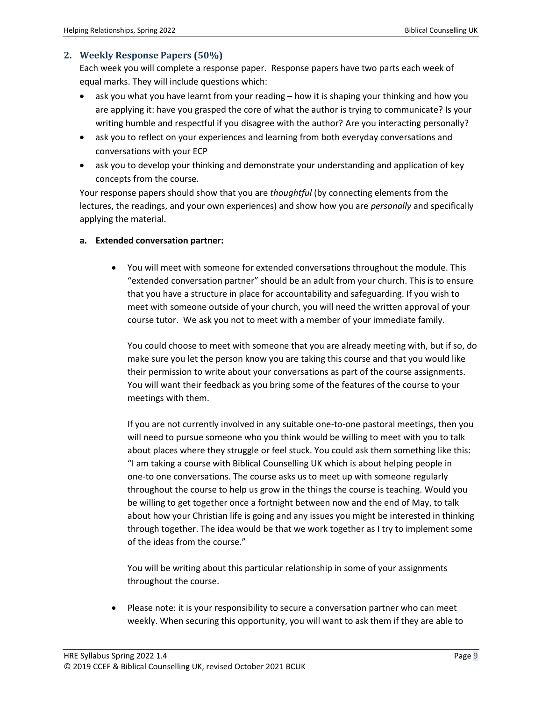#### **2. Weekly Response Papers (50%)**

Each week you will complete a response paper. Response papers have two parts each week of equal marks. They will include questions which:

- ask you what you have learnt from your reading how it is shaping your thinking and how you are applying it: have you grasped the core of what the author is trying to communicate? Is your writing humble and respectful if you disagree with the author? Are you interacting personally?
- ask you to reflect on your experiences and learning from both everyday conversations and conversations with your ECP
- ask you to develop your thinking and demonstrate your understanding and application of key concepts from the course.

Your response papers should show that you are *thoughtful* (by connecting elements from the lectures, the readings, and your own experiences) and show how you are *personally* and specifically applying the material.

#### **a. Extended conversation partner:**

• You will meet with someone for extended conversations throughout the module. This "extended conversation partner" should be an adult from your church. This is to ensure that you have a structure in place for accountability and safeguarding. If you wish to meet with someone outside of your church, you will need the written approval of your course tutor. We ask you not to meet with a member of your immediate family.

You could choose to meet with someone that you are already meeting with, but if so, do make sure you let the person know you are taking this course and that you would like their permission to write about your conversations as part of the course assignments. You will want their feedback as you bring some of the features of the course to your meetings with them.

If you are not currently involved in any suitable one-to-one pastoral meetings, then you will need to pursue someone who you think would be willing to meet with you to talk about places where they struggle or feel stuck. You could ask them something like this: "I am taking a course with Biblical Counselling UK which is about helping people in one-to one conversations. The course asks us to meet up with someone regularly throughout the course to help us grow in the things the course is teaching. Would you be willing to get together once a fortnight between now and the end of May, to talk about how your Christian life is going and any issues you might be interested in thinking through together. The idea would be that we work together as I try to implement some of the ideas from the course."

You will be writing about this particular relationship in some of your assignments throughout the course.

Please note: it is your responsibility to secure a conversation partner who can meet weekly. When securing this opportunity, you will want to ask them if they are able to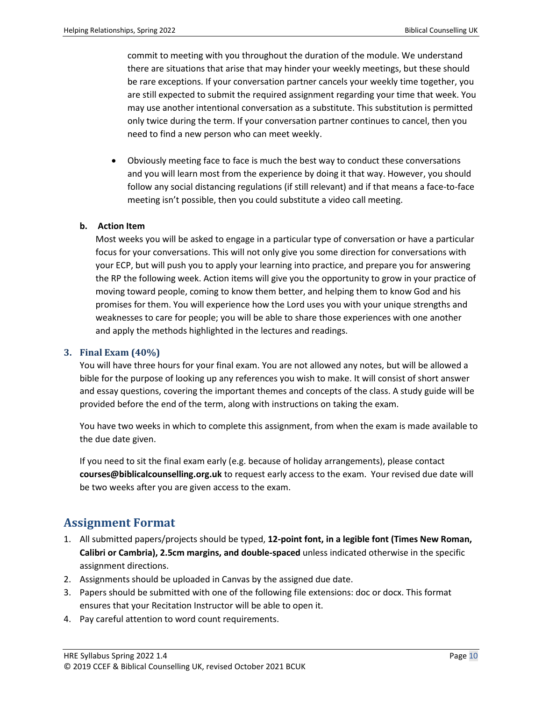commit to meeting with you throughout the duration of the module. We understand there are situations that arise that may hinder your weekly meetings, but these should be rare exceptions. If your conversation partner cancels your weekly time together, you are still expected to submit the required assignment regarding your time that week. You may use another intentional conversation as a substitute. This substitution is permitted only twice during the term. If your conversation partner continues to cancel, then you need to find a new person who can meet weekly.

• Obviously meeting face to face is much the best way to conduct these conversations and you will learn most from the experience by doing it that way. However, you should follow any social distancing regulations (if still relevant) and if that means a face-to-face meeting isn't possible, then you could substitute a video call meeting.

#### **b. Action Item**

Most weeks you will be asked to engage in a particular type of conversation or have a particular focus for your conversations. This will not only give you some direction for conversations with your ECP, but will push you to apply your learning into practice, and prepare you for answering the RP the following week. Action items will give you the opportunity to grow in your practice of moving toward people, coming to know them better, and helping them to know God and his promises for them. You will experience how the Lord uses you with your unique strengths and weaknesses to care for people; you will be able to share those experiences with one another and apply the methods highlighted in the lectures and readings.

#### **3. Final Exam (40%)**

You will have three hours for your final exam. You are not allowed any notes, but will be allowed a bible for the purpose of looking up any references you wish to make. It will consist of short answer and essay questions, covering the important themes and concepts of the class. A study guide will be provided before the end of the term, along with instructions on taking the exam.

You have two weeks in which to complete this assignment, from when the exam is made available to the due date given.

If you need to sit the final exam early (e.g. because of holiday arrangements), please contact **courses@biblicalcounselling.org.uk** to request early access to the exam. Your revised due date will be two weeks after you are given access to the exam.

### **Assignment Format**

- 1. All submitted papers/projects should be typed, **12-point font, in a legible font (Times New Roman, Calibri or Cambria), 2.5cm margins, and double-spaced** unless indicated otherwise in the specific assignment directions.
- 2. Assignments should be uploaded in Canvas by the assigned due date.
- 3. Papers should be submitted with one of the following file extensions: doc or docx. This format ensures that your Recitation Instructor will be able to open it.
- 4. Pay careful attention to word count requirements.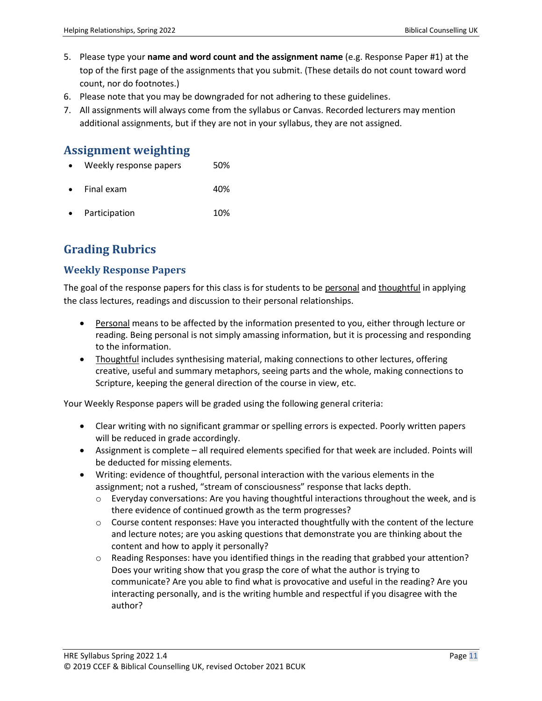- 5. Please type your **name and word count and the assignment name** (e.g. Response Paper #1) at the top of the first page of the assignments that you submit. (These details do not count toward word count, nor do footnotes.)
- 6. Please note that you may be downgraded for not adhering to these guidelines.
- 7. All assignments will always come from the syllabus or Canvas. Recorded lecturers may mention additional assignments, but if they are not in your syllabus, they are not assigned.

### **Assignment weighting**

- Weekly response papers 50%
- Final exam 40%
- **Participation** 10%

### **Grading Rubrics**

### **Weekly Response Papers**

The goal of the response papers for this class is for students to be personal and thoughtful in applying the class lectures, readings and discussion to their personal relationships.

- Personal means to be affected by the information presented to you, either through lecture or reading. Being personal is not simply amassing information, but it is processing and responding to the information.
- Thoughtful includes synthesising material, making connections to other lectures, offering creative, useful and summary metaphors, seeing parts and the whole, making connections to Scripture, keeping the general direction of the course in view, etc.

Your Weekly Response papers will be graded using the following general criteria:

- Clear writing with no significant grammar or spelling errors is expected. Poorly written papers will be reduced in grade accordingly.
- Assignment is complete all required elements specified for that week are included. Points will be deducted for missing elements.
- Writing: evidence of thoughtful, personal interaction with the various elements in the assignment; not a rushed, "stream of consciousness" response that lacks depth.
	- $\circ$  Everyday conversations: Are you having thoughtful interactions throughout the week, and is there evidence of continued growth as the term progresses?
	- $\circ$  Course content responses: Have you interacted thoughtfully with the content of the lecture and lecture notes; are you asking questions that demonstrate you are thinking about the content and how to apply it personally?
	- $\circ$  Reading Responses: have you identified things in the reading that grabbed your attention? Does your writing show that you grasp the core of what the author is trying to communicate? Are you able to find what is provocative and useful in the reading? Are you interacting personally, and is the writing humble and respectful if you disagree with the author?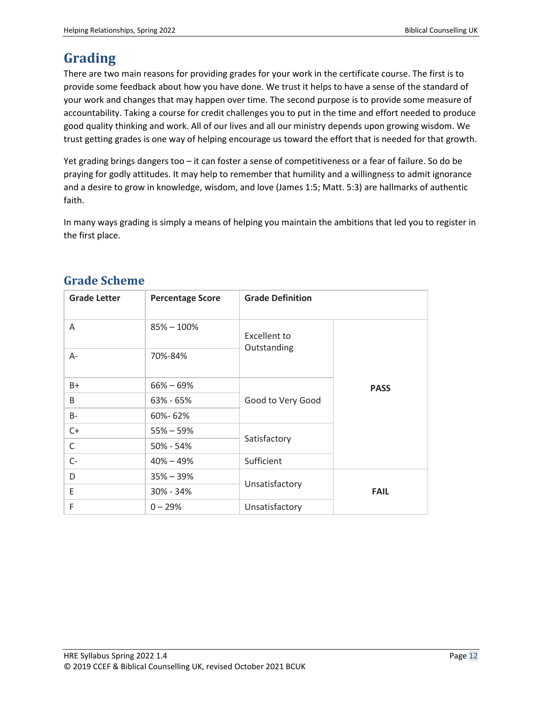# **Grading**

There are two main reasons for providing grades for your work in the certificate course. The first is to provide some feedback about how you have done. We trust it helps to have a sense of the standard of your work and changes that may happen over time. The second purpose is to provide some measure of accountability. Taking a course for credit challenges you to put in the time and effort needed to produce good quality thinking and work. All of our lives and all our ministry depends upon growing wisdom. We trust getting grades is one way of helping encourage us toward the effort that is needed for that growth.

Yet grading brings dangers too – it can foster a sense of competitiveness or a fear of failure. So do be praying for godly attitudes. It may help to remember that humility and a willingness to admit ignorance and a desire to grow in knowledge, wisdom, and love (James 1:5; Matt. 5:3) are hallmarks of authentic faith.

In many ways grading is simply a means of helping you maintain the ambitions that led you to register in the first place.

| <b>Grade Letter</b> | <b>Percentage Score</b> | <b>Grade Definition</b>            |             |
|---------------------|-------------------------|------------------------------------|-------------|
| A                   | $85\% - 100\%$          | <b>Excellent to</b><br>Outstanding |             |
| $A -$               | 70%-84%                 |                                    |             |
| $B+$                | $66\% - 69\%$           | Good to Very Good                  | <b>PASS</b> |
| B                   | $63\% - 65\%$           |                                    |             |
| B-                  | 60%-62%                 |                                    |             |
| $C+$                | $55\% - 59\%$           | Satisfactory                       |             |
| $\mathsf{C}$        | $50\% - 54\%$           |                                    |             |
| $C-$                | $40\% - 49\%$           | Sufficient                         |             |
| D                   | $35\% - 39\%$           | Unsatisfactory                     |             |
| E                   | $30\% - 34\%$           |                                    | <b>FAIL</b> |
| F                   | $0 - 29%$               | Unsatisfactory                     |             |

### **Grade Scheme**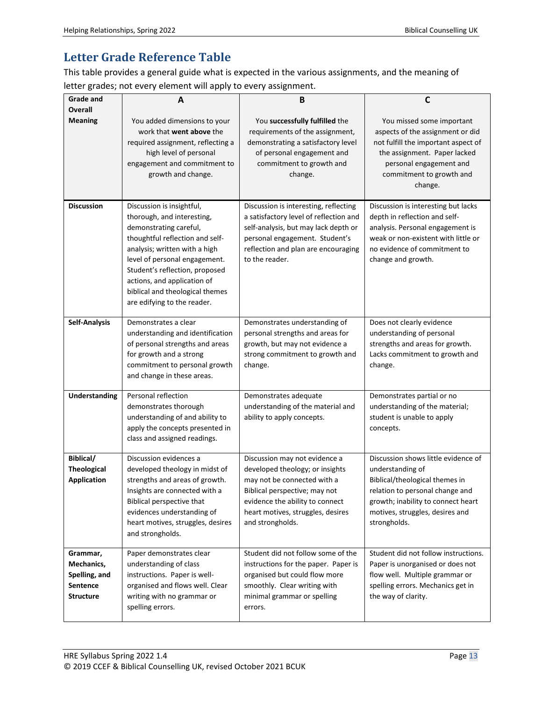### **Letter Grade Reference Table**

This table provides a general guide what is expected in the various assignments, and the meaning of letter grades; not every element will apply to every assignment.

| <b>Grade and</b>                                                        | A                                                                                                                                                                                                                                                                                                                         | B                                                                                                                                                                                                                            | C                                                                                                                                                                                                                     |
|-------------------------------------------------------------------------|---------------------------------------------------------------------------------------------------------------------------------------------------------------------------------------------------------------------------------------------------------------------------------------------------------------------------|------------------------------------------------------------------------------------------------------------------------------------------------------------------------------------------------------------------------------|-----------------------------------------------------------------------------------------------------------------------------------------------------------------------------------------------------------------------|
| <b>Overall</b>                                                          |                                                                                                                                                                                                                                                                                                                           |                                                                                                                                                                                                                              |                                                                                                                                                                                                                       |
| <b>Meaning</b>                                                          | You added dimensions to your<br>work that went above the<br>required assignment, reflecting a<br>high level of personal<br>engagement and commitment to<br>growth and change.                                                                                                                                             | You successfully fulfilled the<br>requirements of the assignment,<br>demonstrating a satisfactory level<br>of personal engagement and<br>commitment to growth and<br>change.                                                 | You missed some important<br>aspects of the assignment or did<br>not fulfill the important aspect of<br>the assignment. Paper lacked<br>personal engagement and<br>commitment to growth and<br>change.                |
| <b>Discussion</b>                                                       | Discussion is insightful,<br>thorough, and interesting,<br>demonstrating careful,<br>thoughtful reflection and self-<br>analysis; written with a high<br>level of personal engagement.<br>Student's reflection, proposed<br>actions, and application of<br>biblical and theological themes<br>are edifying to the reader. | Discussion is interesting, reflecting<br>a satisfactory level of reflection and<br>self-analysis, but may lack depth or<br>personal engagement. Student's<br>reflection and plan are encouraging<br>to the reader.           | Discussion is interesting but lacks<br>depth in reflection and self-<br>analysis. Personal engagement is<br>weak or non-existent with little or<br>no evidence of commitment to<br>change and growth.                 |
| <b>Self-Analysis</b>                                                    | Demonstrates a clear<br>understanding and identification<br>of personal strengths and areas<br>for growth and a strong<br>commitment to personal growth<br>and change in these areas.                                                                                                                                     | Demonstrates understanding of<br>personal strengths and areas for<br>growth, but may not evidence a<br>strong commitment to growth and<br>change.                                                                            | Does not clearly evidence<br>understanding of personal<br>strengths and areas for growth.<br>Lacks commitment to growth and<br>change.                                                                                |
| <b>Understanding</b>                                                    | Personal reflection<br>demonstrates thorough<br>understanding of and ability to<br>apply the concepts presented in<br>class and assigned readings.                                                                                                                                                                        | Demonstrates adequate<br>understanding of the material and<br>ability to apply concepts.                                                                                                                                     | Demonstrates partial or no<br>understanding of the material;<br>student is unable to apply<br>concepts.                                                                                                               |
| Biblical/<br><b>Theological</b><br><b>Application</b>                   | Discussion evidences a<br>developed theology in midst of<br>strengths and areas of growth.<br>Insights are connected with a<br>Biblical perspective that<br>evidences understanding of<br>heart motives, struggles, desires<br>and strongholds.                                                                           | Discussion may not evidence a<br>developed theology; or insights<br>may not be connected with a<br>Biblical perspective; may not<br>evidence the ability to connect<br>heart motives, struggles, desires<br>and strongholds. | Discussion shows little evidence of<br>understanding of<br>Biblical/theological themes in<br>relation to personal change and<br>growth; inability to connect heart<br>motives, struggles, desires and<br>strongholds. |
| Grammar,<br>Mechanics,<br>Spelling, and<br>Sentence<br><b>Structure</b> | Paper demonstrates clear<br>understanding of class<br>instructions. Paper is well-<br>organised and flows well. Clear<br>writing with no grammar or<br>spelling errors.                                                                                                                                                   | Student did not follow some of the<br>instructions for the paper. Paper is<br>organised but could flow more<br>smoothly. Clear writing with<br>minimal grammar or spelling<br>errors.                                        | Student did not follow instructions.<br>Paper is unorganised or does not<br>flow well. Multiple grammar or<br>spelling errors. Mechanics get in<br>the way of clarity.                                                |